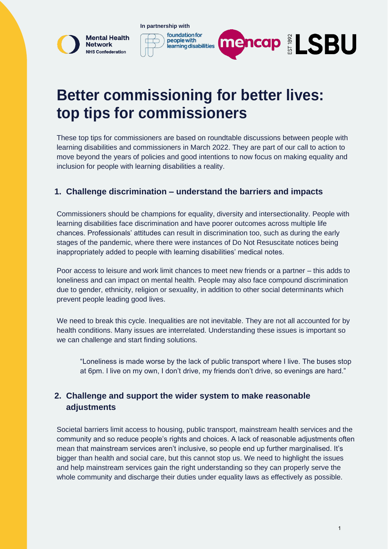

# **Better commissioning for better lives: top tips for commissioners**

These top tips for commissioners are based on roundtable discussions between people with learning disabilities and commissioners in March 2022. They are part of our call to action to move beyond the years of policies and good intentions to now focus on making equality and inclusion for people with learning disabilities a reality.

## **1. Challenge discrimination – understand the barriers and impacts**

Commissioners should be champions for equality, diversity and intersectionality. People with learning disabilities face discrimination and have poorer outcomes across multiple life chances. Professionals' attitudes can result in discrimination too, such as during the early stages of the pandemic, where there were instances of Do Not Resuscitate notices being inappropriately added to people with learning disabilities' medical notes.

Poor access to leisure and work limit chances to meet new friends or a partner – this adds to loneliness and can impact on mental health. People may also face compound discrimination due to gender, ethnicity, religion or sexuality, in addition to other social determinants which prevent people leading good lives.

We need to break this cycle. Inequalities are not inevitable. They are not all accounted for by health conditions. Many issues are interrelated. Understanding these issues is important so we can challenge and start finding solutions.

"Loneliness is made worse by the lack of public transport where I live. The buses stop at 6pm. I live on my own, I don't drive, my friends don't drive, so evenings are hard."

# **2. Challenge and support the wider system to make reasonable adjustments**

Societal barriers limit access to housing, public transport, mainstream health services and the community and so reduce people's rights and choices. A lack of reasonable adjustments often mean that mainstream services aren't inclusive, so people end up further marginalised. It's bigger than health and social care, but this cannot stop us. We need to highlight the issues and help mainstream services gain the right understanding so they can properly serve the whole community and discharge their duties under equality laws as effectively as possible.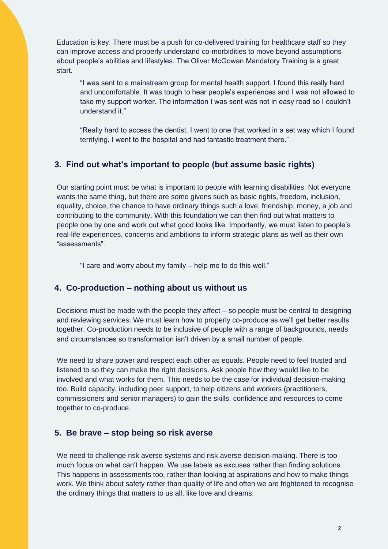Education is key. There must be a push for co-delivered training for healthcare staff so they can improve access and properly understand co-morbidities to move beyond assumptions about people's abilities and lifestyles. The Oliver McGowan Mandatory Training is a great start.

"I was sent to a mainstream group for mental health support. I found this really hard and uncomfortable. It was tough to hear people's experiences and I was not allowed to take my support worker. The information I was sent was not in easy read so I couldn't understand it."

"Really hard to access the dentist. I went to one that worked in a set way which I found terrifying. I went to the hospital and had fantastic treatment there."

# **3. Find out what's important to people (but assume basic rights)**

Our starting point must be what is important to people with learning disabilities. Not everyone wants the same thing, but there are some givens such as basic rights, freedom, inclusion, equality, choice, the chance to have ordinary things such a love, friendship, money, a job and contributing to the community. With this foundation we can then find out what matters to people one by one and work out what good looks like. Importantly, we must listen to people's real-life experiences, concerns and ambitions to inform strategic plans as well as their own "assessments".

"I care and worry about my family – help me to do this well."

## **4. Co-production – nothing about us without us**

Decisions must be made with the people they affect – so people must be central to designing and reviewing services. We must learn how to properly co-produce as we'll get better results together. Co-production needs to be inclusive of people with a range of backgrounds, needs and circumstances so transformation isn't driven by a small number of people.

We need to share power and respect each other as equals. People need to feel trusted and listened to so they can make the right decisions. Ask people how they would like to be involved and what works for them. This needs to be the case for individual decision-making too. Build capacity, including peer support, to help citizens and workers (practitioners, commissioners and senior managers) to gain the skills, confidence and resources to come together to co-produce.

# **5. Be brave – stop being so risk averse**

We need to challenge risk averse systems and risk averse decision-making. There is too much focus on what can't happen. We use labels as excuses rather than finding solutions. This happens in assessments too, rather than looking at aspirations and how to make things work. We think about safety rather than quality of life and often we are frightened to recognise the ordinary things that matters to us all, like love and dreams.